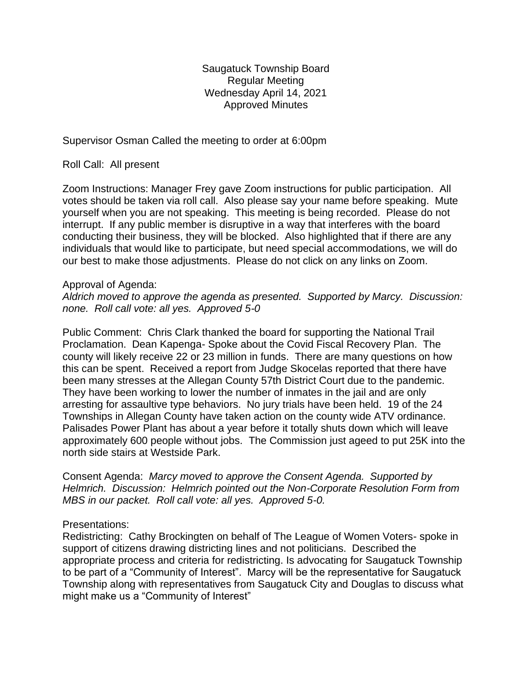Saugatuck Township Board Regular Meeting Wednesday April 14, 2021 Approved Minutes

Supervisor Osman Called the meeting to order at 6:00pm

Roll Call: All present

Zoom Instructions: Manager Frey gave Zoom instructions for public participation. All votes should be taken via roll call. Also please say your name before speaking. Mute yourself when you are not speaking. This meeting is being recorded. Please do not interrupt. If any public member is disruptive in a way that interferes with the board conducting their business, they will be blocked. Also highlighted that if there are any individuals that would like to participate, but need special accommodations, we will do our best to make those adjustments. Please do not click on any links on Zoom.

## Approval of Agenda:

*Aldrich moved to approve the agenda as presented. Supported by Marcy. Discussion: none. Roll call vote: all yes. Approved 5-0*

Public Comment: Chris Clark thanked the board for supporting the National Trail Proclamation. Dean Kapenga- Spoke about the Covid Fiscal Recovery Plan. The county will likely receive 22 or 23 million in funds. There are many questions on how this can be spent. Received a report from Judge Skocelas reported that there have been many stresses at the Allegan County 57th District Court due to the pandemic. They have been working to lower the number of inmates in the jail and are only arresting for assaultive type behaviors. No jury trials have been held. 19 of the 24 Townships in Allegan County have taken action on the county wide ATV ordinance. Palisades Power Plant has about a year before it totally shuts down which will leave approximately 600 people without jobs. The Commission just ageed to put 25K into the north side stairs at Westside Park.

Consent Agenda: *Marcy moved to approve the Consent Agenda. Supported by Helmrich. Discussion: Helmrich pointed out the Non-Corporate Resolution Form from MBS in our packet. Roll call vote: all yes. Approved 5-0.*

## Presentations:

Redistricting: Cathy Brockingten on behalf of The League of Women Voters- spoke in support of citizens drawing districting lines and not politicians. Described the appropriate process and criteria for redistricting. Is advocating for Saugatuck Township to be part of a "Community of Interest". Marcy will be the representative for Saugatuck Township along with representatives from Saugatuck City and Douglas to discuss what might make us a "Community of Interest"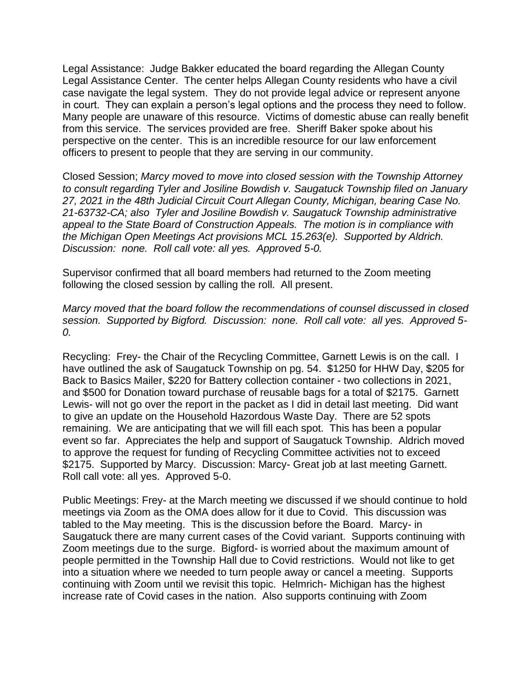Legal Assistance: Judge Bakker educated the board regarding the Allegan County Legal Assistance Center. The center helps Allegan County residents who have a civil case navigate the legal system. They do not provide legal advice or represent anyone in court. They can explain a person's legal options and the process they need to follow. Many people are unaware of this resource. Victims of domestic abuse can really benefit from this service. The services provided are free. Sheriff Baker spoke about his perspective on the center. This is an incredible resource for our law enforcement officers to present to people that they are serving in our community.

Closed Session; *Marcy moved to move into closed session with the Township Attorney to consult regarding Tyler and Josiline Bowdish v. Saugatuck Township filed on January 27, 2021 in the 48th Judicial Circuit Court Allegan County, Michigan, bearing Case No. 21-63732-CA; also Tyler and Josiline Bowdish v. Saugatuck Township administrative appeal to the State Board of Construction Appeals. The motion is in compliance with the Michigan Open Meetings Act provisions MCL 15.263(e). Supported by Aldrich. Discussion: none. Roll call vote: all yes. Approved 5-0.* 

Supervisor confirmed that all board members had returned to the Zoom meeting following the closed session by calling the roll. All present.

*Marcy moved that the board follow the recommendations of counsel discussed in closed session. Supported by Bigford. Discussion: none. Roll call vote: all yes. Approved 5- 0.*

Recycling: Frey- the Chair of the Recycling Committee, Garnett Lewis is on the call. I have outlined the ask of Saugatuck Township on pg. 54. \$1250 for HHW Day, \$205 for Back to Basics Mailer, \$220 for Battery collection container - two collections in 2021, and \$500 for Donation toward purchase of reusable bags for a total of \$2175. Garnett Lewis- will not go over the report in the packet as I did in detail last meeting. Did want to give an update on the Household Hazordous Waste Day. There are 52 spots remaining. We are anticipating that we will fill each spot. This has been a popular event so far. Appreciates the help and support of Saugatuck Township. Aldrich moved to approve the request for funding of Recycling Committee activities not to exceed \$2175. Supported by Marcy. Discussion: Marcy- Great job at last meeting Garnett. Roll call vote: all yes. Approved 5-0.

Public Meetings: Frey- at the March meeting we discussed if we should continue to hold meetings via Zoom as the OMA does allow for it due to Covid. This discussion was tabled to the May meeting. This is the discussion before the Board. Marcy- in Saugatuck there are many current cases of the Covid variant. Supports continuing with Zoom meetings due to the surge. Bigford- is worried about the maximum amount of people permitted in the Township Hall due to Covid restrictions. Would not like to get into a situation where we needed to turn people away or cancel a meeting. Supports continuing with Zoom until we revisit this topic. Helmrich- Michigan has the highest increase rate of Covid cases in the nation. Also supports continuing with Zoom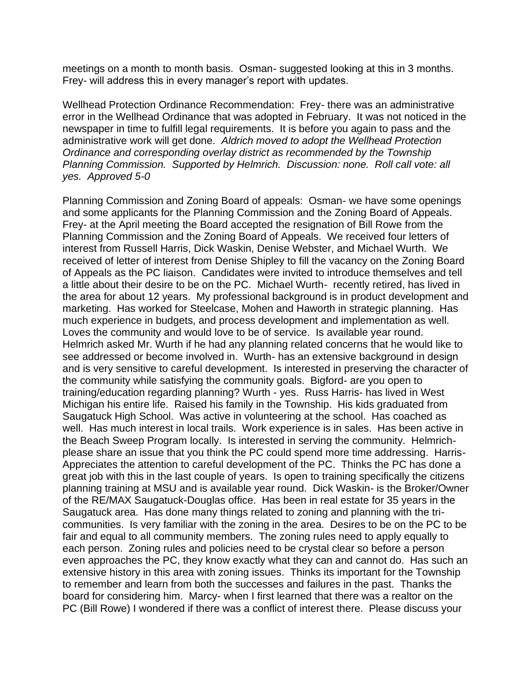meetings on a month to month basis. Osman- suggested looking at this in 3 months. Frey- will address this in every manager's report with updates.

Wellhead Protection Ordinance Recommendation: Frey- there was an administrative error in the Wellhead Ordinance that was adopted in February. It was not noticed in the newspaper in time to fulfill legal requirements. It is before you again to pass and the administrative work will get done. *Aldrich moved to adopt the Wellhead Protection Ordinance and corresponding overlay district as recommended by the Township Planning Commission. Supported by Helmrich. Discussion: none. Roll call vote: all yes. Approved 5-0*

Planning Commission and Zoning Board of appeals: Osman- we have some openings and some applicants for the Planning Commission and the Zoning Board of Appeals. Frey- at the April meeting the Board accepted the resignation of Bill Rowe from the Planning Commission and the Zoning Board of Appeals. We received four letters of interest from Russell Harris, Dick Waskin, Denise Webster, and Michael Wurth. We received of letter of interest from Denise Shipley to fill the vacancy on the Zoning Board of Appeals as the PC liaison. Candidates were invited to introduce themselves and tell a little about their desire to be on the PC. Michael Wurth- recently retired, has lived in the area for about 12 years. My professional background is in product development and marketing. Has worked for Steelcase, Mohen and Haworth in strategic planning. Has much experience in budgets, and process development and implementation as well. Loves the community and would love to be of service. Is available year round. Helmrich asked Mr. Wurth if he had any planning related concerns that he would like to see addressed or become involved in. Wurth- has an extensive background in design and is very sensitive to careful development. Is interested in preserving the character of the community while satisfying the community goals. Bigford- are you open to training/education regarding planning? Wurth - yes. Russ Harris- has lived in West Michigan his entire life. Raised his family in the Township. His kids graduated from Saugatuck High School. Was active in volunteering at the school. Has coached as well. Has much interest in local trails. Work experience is in sales. Has been active in the Beach Sweep Program locally. Is interested in serving the community. Helmrichplease share an issue that you think the PC could spend more time addressing. Harris-Appreciates the attention to careful development of the PC. Thinks the PC has done a great job with this in the last couple of years. Is open to training specifically the citizens planning training at MSU and is available year round. Dick Waskin- is the Broker/Owner of the RE/MAX Saugatuck-Douglas office. Has been in real estate for 35 years in the Saugatuck area. Has done many things related to zoning and planning with the tricommunities. Is very familiar with the zoning in the area. Desires to be on the PC to be fair and equal to all community members. The zoning rules need to apply equally to each person. Zoning rules and policies need to be crystal clear so before a person even approaches the PC, they know exactly what they can and cannot do. Has such an extensive history in this area with zoning issues. Thinks its important for the Township to remember and learn from both the successes and failures in the past. Thanks the board for considering him. Marcy- when I first learned that there was a realtor on the PC (Bill Rowe) I wondered if there was a conflict of interest there. Please discuss your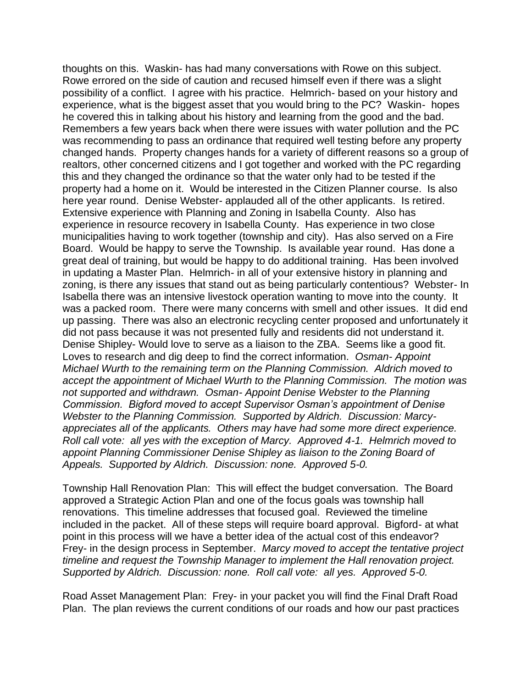thoughts on this. Waskin- has had many conversations with Rowe on this subject. Rowe errored on the side of caution and recused himself even if there was a slight possibility of a conflict. I agree with his practice. Helmrich- based on your history and experience, what is the biggest asset that you would bring to the PC? Waskin- hopes he covered this in talking about his history and learning from the good and the bad. Remembers a few years back when there were issues with water pollution and the PC was recommending to pass an ordinance that required well testing before any property changed hands. Property changes hands for a variety of different reasons so a group of realtors, other concerned citizens and I got together and worked with the PC regarding this and they changed the ordinance so that the water only had to be tested if the property had a home on it. Would be interested in the Citizen Planner course. Is also here year round. Denise Webster- applauded all of the other applicants. Is retired. Extensive experience with Planning and Zoning in Isabella County. Also has experience in resource recovery in Isabella County. Has experience in two close municipalities having to work together (township and city). Has also served on a Fire Board. Would be happy to serve the Township. Is available year round. Has done a great deal of training, but would be happy to do additional training. Has been involved in updating a Master Plan. Helmrich- in all of your extensive history in planning and zoning, is there any issues that stand out as being particularly contentious? Webster- In Isabella there was an intensive livestock operation wanting to move into the county. It was a packed room. There were many concerns with smell and other issues. It did end up passing. There was also an electronic recycling center proposed and unfortunately it did not pass because it was not presented fully and residents did not understand it. Denise Shipley- Would love to serve as a liaison to the ZBA. Seems like a good fit. Loves to research and dig deep to find the correct information. *Osman- Appoint Michael Wurth to the remaining term on the Planning Commission. Aldrich moved to accept the appointment of Michael Wurth to the Planning Commission. The motion was not supported and withdrawn. Osman- Appoint Denise Webster to the Planning Commission. Bigford moved to accept Supervisor Osman's appointment of Denise Webster to the Planning Commission. Supported by Aldrich. Discussion: Marcyappreciates all of the applicants. Others may have had some more direct experience. Roll call vote: all yes with the exception of Marcy. Approved 4-1. Helmrich moved to appoint Planning Commissioner Denise Shipley as liaison to the Zoning Board of Appeals. Supported by Aldrich. Discussion: none. Approved 5-0.* 

Township Hall Renovation Plan: This will effect the budget conversation. The Board approved a Strategic Action Plan and one of the focus goals was township hall renovations. This timeline addresses that focused goal. Reviewed the timeline included in the packet. All of these steps will require board approval. Bigford- at what point in this process will we have a better idea of the actual cost of this endeavor? Frey- in the design process in September. *Marcy moved to accept the tentative project timeline and request the Township Manager to implement the Hall renovation project. Supported by Aldrich. Discussion: none. Roll call vote: all yes. Approved 5-0.* 

Road Asset Management Plan: Frey- in your packet you will find the Final Draft Road Plan. The plan reviews the current conditions of our roads and how our past practices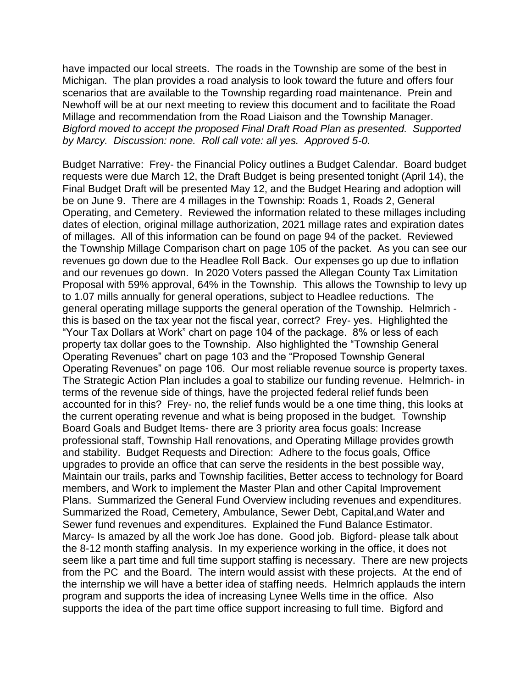have impacted our local streets. The roads in the Township are some of the best in Michigan. The plan provides a road analysis to look toward the future and offers four scenarios that are available to the Township regarding road maintenance. Prein and Newhoff will be at our next meeting to review this document and to facilitate the Road Millage and recommendation from the Road Liaison and the Township Manager. *Bigford moved to accept the proposed Final Draft Road Plan as presented. Supported by Marcy. Discussion: none. Roll call vote: all yes. Approved 5-0.*

Budget Narrative: Frey- the Financial Policy outlines a Budget Calendar. Board budget requests were due March 12, the Draft Budget is being presented tonight (April 14), the Final Budget Draft will be presented May 12, and the Budget Hearing and adoption will be on June 9. There are 4 millages in the Township: Roads 1, Roads 2, General Operating, and Cemetery. Reviewed the information related to these millages including dates of election, original millage authorization, 2021 millage rates and expiration dates of millages. All of this information can be found on page 94 of the packet. Reviewed the Township Millage Comparison chart on page 105 of the packet. As you can see our revenues go down due to the Headlee Roll Back. Our expenses go up due to inflation and our revenues go down. In 2020 Voters passed the Allegan County Tax Limitation Proposal with 59% approval, 64% in the Township. This allows the Township to levy up to 1.07 mills annually for general operations, subject to Headlee reductions. The general operating millage supports the general operation of the Township. Helmrich this is based on the tax year not the fiscal year, correct? Frey- yes. Highlighted the "Your Tax Dollars at Work" chart on page 104 of the package. 8% or less of each property tax dollar goes to the Township. Also highlighted the "Township General Operating Revenues" chart on page 103 and the "Proposed Township General Operating Revenues" on page 106. Our most reliable revenue source is property taxes. The Strategic Action Plan includes a goal to stabilize our funding revenue. Helmrich- in terms of the revenue side of things, have the projected federal relief funds been accounted for in this? Frey- no, the relief funds would be a one time thing, this looks at the current operating revenue and what is being proposed in the budget. Township Board Goals and Budget Items- there are 3 priority area focus goals: Increase professional staff, Township Hall renovations, and Operating Millage provides growth and stability. Budget Requests and Direction: Adhere to the focus goals, Office upgrades to provide an office that can serve the residents in the best possible way, Maintain our trails, parks and Township facilities, Better access to technology for Board members, and Work to implement the Master Plan and other Capital Improvement Plans. Summarized the General Fund Overview including revenues and expenditures. Summarized the Road, Cemetery, Ambulance, Sewer Debt, Capital,and Water and Sewer fund revenues and expenditures. Explained the Fund Balance Estimator. Marcy- Is amazed by all the work Joe has done. Good job. Bigford- please talk about the 8-12 month staffing analysis. In my experience working in the office, it does not seem like a part time and full time support staffing is necessary. There are new projects from the PC and the Board. The intern would assist with these projects. At the end of the internship we will have a better idea of staffing needs. Helmrich applauds the intern program and supports the idea of increasing Lynee Wells time in the office. Also supports the idea of the part time office support increasing to full time. Bigford and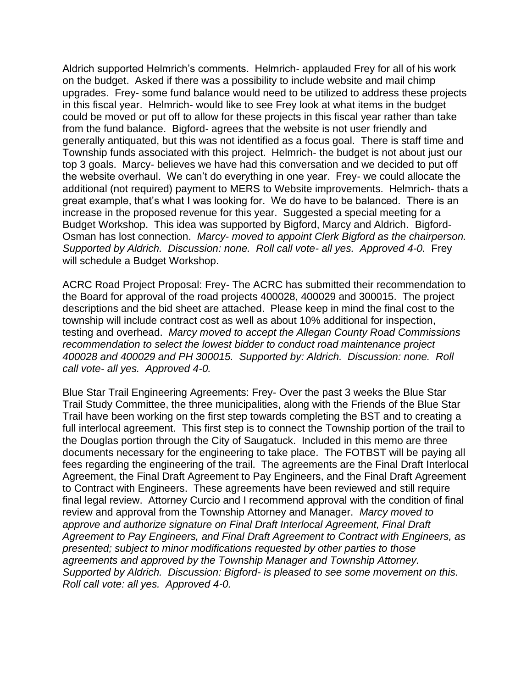Aldrich supported Helmrich's comments. Helmrich- applauded Frey for all of his work on the budget. Asked if there was a possibility to include website and mail chimp upgrades. Frey- some fund balance would need to be utilized to address these projects in this fiscal year. Helmrich- would like to see Frey look at what items in the budget could be moved or put off to allow for these projects in this fiscal year rather than take from the fund balance. Bigford- agrees that the website is not user friendly and generally antiquated, but this was not identified as a focus goal. There is staff time and Township funds associated with this project. Helmrich- the budget is not about just our top 3 goals. Marcy- believes we have had this conversation and we decided to put off the website overhaul. We can't do everything in one year. Frey- we could allocate the additional (not required) payment to MERS to Website improvements. Helmrich- thats a great example, that's what I was looking for. We do have to be balanced. There is an increase in the proposed revenue for this year. Suggested a special meeting for a Budget Workshop. This idea was supported by Bigford, Marcy and Aldrich. Bigford-Osman has lost connection. *Marcy- moved to appoint Clerk Bigford as the chairperson. Supported by Aldrich. Discussion: none. Roll call vote- all yes. Approved 4-0.* Frey will schedule a Budget Workshop.

ACRC Road Project Proposal: Frey- The ACRC has submitted their recommendation to the Board for approval of the road projects 400028, 400029 and 300015. The project descriptions and the bid sheet are attached. Please keep in mind the final cost to the township will include contract cost as well as about 10% additional for inspection, testing and overhead. *Marcy moved to accept the Allegan County Road Commissions recommendation to select the lowest bidder to conduct road maintenance project 400028 and 400029 and PH 300015. Supported by: Aldrich. Discussion: none. Roll call vote- all yes. Approved 4-0.*

Blue Star Trail Engineering Agreements: Frey- Over the past 3 weeks the Blue Star Trail Study Committee, the three municipalities, along with the Friends of the Blue Star Trail have been working on the first step towards completing the BST and to creating a full interlocal agreement. This first step is to connect the Township portion of the trail to the Douglas portion through the City of Saugatuck. Included in this memo are three documents necessary for the engineering to take place. The FOTBST will be paying all fees regarding the engineering of the trail. The agreements are the Final Draft Interlocal Agreement, the Final Draft Agreement to Pay Engineers, and the Final Draft Agreement to Contract with Engineers. These agreements have been reviewed and still require final legal review. Attorney Curcio and I recommend approval with the condition of final review and approval from the Township Attorney and Manager. *Marcy moved to approve and authorize signature on Final Draft Interlocal Agreement, Final Draft Agreement to Pay Engineers, and Final Draft Agreement to Contract with Engineers, as presented; subject to minor modifications requested by other parties to those agreements and approved by the Township Manager and Township Attorney. Supported by Aldrich. Discussion: Bigford- is pleased to see some movement on this. Roll call vote: all yes. Approved 4-0.*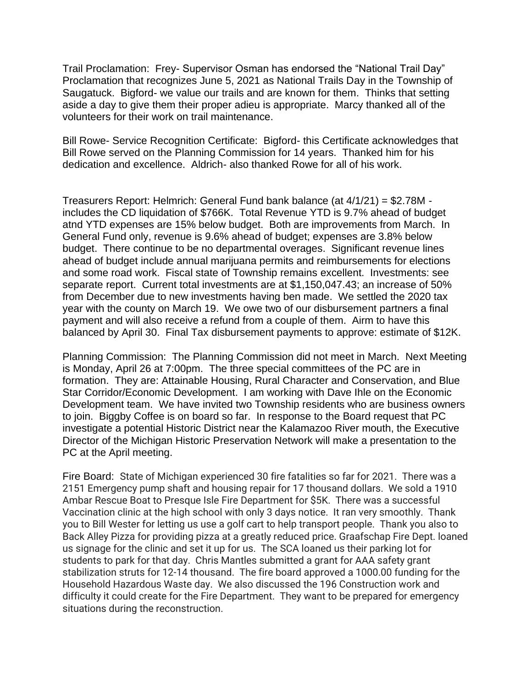Trail Proclamation: Frey- Supervisor Osman has endorsed the "National Trail Day" Proclamation that recognizes June 5, 2021 as National Trails Day in the Township of Saugatuck. Bigford- we value our trails and are known for them. Thinks that setting aside a day to give them their proper adieu is appropriate. Marcy thanked all of the volunteers for their work on trail maintenance.

Bill Rowe- Service Recognition Certificate: Bigford- this Certificate acknowledges that Bill Rowe served on the Planning Commission for 14 years. Thanked him for his dedication and excellence. Aldrich- also thanked Rowe for all of his work.

Treasurers Report: Helmrich: General Fund bank balance (at 4/1/21) = \$2.78M includes the CD liquidation of \$766K. Total Revenue YTD is 9.7% ahead of budget atnd YTD expenses are 15% below budget. Both are improvements from March. In General Fund only, revenue is 9.6% ahead of budget; expenses are 3.8% below budget. There continue to be no departmental overages. Significant revenue lines ahead of budget include annual marijuana permits and reimbursements for elections and some road work. Fiscal state of Township remains excellent. Investments: see separate report. Current total investments are at \$1,150,047.43; an increase of 50% from December due to new investments having ben made. We settled the 2020 tax year with the county on March 19. We owe two of our disbursement partners a final payment and will also receive a refund from a couple of them. Airm to have this balanced by April 30. Final Tax disbursement payments to approve: estimate of \$12K.

Planning Commission: The Planning Commission did not meet in March. Next Meeting is Monday, April 26 at 7:00pm. The three special committees of the PC are in formation. They are: Attainable Housing, Rural Character and Conservation, and Blue Star Corridor/Economic Development. I am working with Dave Ihle on the Economic Development team. We have invited two Township residents who are business owners to join. Biggby Coffee is on board so far. In response to the Board request that PC investigate a potential Historic District near the Kalamazoo River mouth, the Executive Director of the Michigan Historic Preservation Network will make a presentation to the PC at the April meeting.

Fire Board: State of Michigan experienced 30 fire fatalities so far for 2021. There was a 2151 Emergency pump shaft and housing repair for 17 thousand dollars. We sold a 1910 Ambar Rescue Boat to Presque Isle Fire Department for \$5K. There was a successful Vaccination clinic at the high school with only 3 days notice. It ran very smoothly. Thank you to Bill Wester for letting us use a golf cart to help transport people. Thank you also to Back Alley Pizza for providing pizza at a greatly reduced price. Graafschap Fire Dept. loaned us signage for the clinic and set it up for us. The SCA loaned us their parking lot for students to park for that day. Chris Mantles submitted a grant for AAA safety grant stabilization struts for 12-14 thousand. The fire board approved a 1000.00 funding for the Household Hazardous Waste day. We also discussed the 196 Construction work and difficulty it could create for the Fire Department. They want to be prepared for emergency situations during the reconstruction.